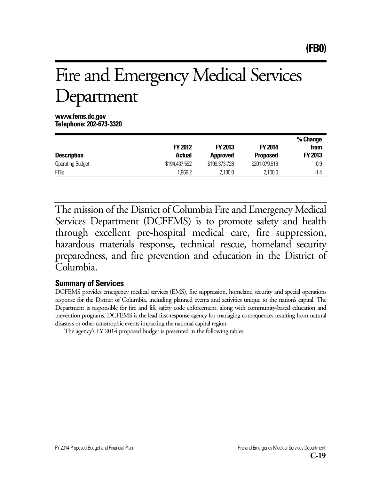# Fire and Emergency Medical Services Department

**www.fems.dc.gov Telephone: 202-673-3320**

|                         | <b>FY 2012</b> | <b>FY 2013</b>  | <b>FY 2014</b>  | % Change<br>from |
|-------------------------|----------------|-----------------|-----------------|------------------|
| <b>Description</b>      | <b>Actual</b>  | <b>Approved</b> | <b>Proposed</b> | FY 2013          |
| <b>Operating Budget</b> | \$194,437,592  | \$199,373,728   | \$201,079,518   | 0.9              |
| <b>FTEs</b>             | .969.2         | 2.130.0         | 2,100.0         | -1.4             |

The mission of the District of Columbia Fire and Emergency Medical Services Department (DCFEMS) is to promote safety and health through excellent pre-hospital medical care, fire suppression, hazardous materials response, technical rescue, homeland security preparedness, and fire prevention and education in the District of Columbia.

# **Summary of Services**

DCFEMS provides emergency medical services (EMS), fire suppression, homeland security and special operations response for the District of Columbia, including planned events and activities unique to the nation's capital. The Department is responsible for fire and life safety code enforcement, along with community-based education and prevention programs. DCFEMS is the lead first-response agency for managing consequences resulting from natural disasters or other catastrophic events impacting the national capital region.

The agency's FY 2014 proposed budget is presented in the following tables: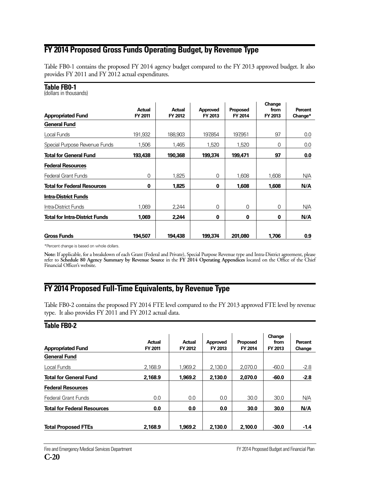# **FY 2014 Proposed Gross Funds Operating Budget, by Revenue Type**

Table FB0-1 contains the proposed FY 2014 agency budget compared to the FY 2013 approved budget. It also provides FY 2011 and FY 2012 actual expenditures.

#### **Table FB0-1**

(dollars in thousands)

| <b>Appropriated Fund</b>              | <b>Actual</b><br>FY 2011 | Actual<br>FY 2012 | Approved<br>FY 2013 | Proposed<br>FY 2014 | Change<br>from<br>FY 2013 | Percent<br>Change* |
|---------------------------------------|--------------------------|-------------------|---------------------|---------------------|---------------------------|--------------------|
| <b>General Fund</b>                   |                          |                   |                     |                     |                           |                    |
| Local Funds                           | 191,932                  | 188,903           | 197,854             | 197,951             | 97                        | 0.0                |
| Special Purpose Revenue Funds         | 1,506                    | 1,465             | 1,520               | 1,520               | 0                         | 0.0                |
| <b>Total for General Fund</b>         | 193,438                  | 190,368           | 199,374             | 199,471             | 97                        | 0.0                |
| <b>Federal Resources</b>              |                          |                   |                     |                     |                           |                    |
| <b>Federal Grant Funds</b>            | 0                        | 1.825             | 0                   | 1.608               | 1.608                     | N/A                |
| <b>Total for Federal Resources</b>    | 0                        | 1,825             | 0                   | 1,608               | 1,608                     | N/A                |
| <b>Intra-District Funds</b>           |                          |                   |                     |                     |                           |                    |
| Intra-District Funds                  | 1,069                    | 2,244             | 0                   | 0                   | 0                         | N/A                |
| <b>Total for Intra-District Funds</b> | 1,069                    | 2,244             | 0                   | $\bf{0}$            | 0                         | N/A                |
| <b>Gross Funds</b>                    | 194,507                  | 194.438           | 199,374             | 201.080             | 1.706                     | 0.9                |

\*Percent change is based on whole dollars.

**Note:** If applicable, for a breakdown of each Grant (Federal and Private), Special Purpose Revenue type and Intra-District agreement, please refer to **Schedule 80 Agency Summary by Revenue Source** in the **FY 2014 Operating Appendices** located on the Office of the Chief Financial Officer's website.

# **FY 2014 Proposed Full-Time Equivalents, by Revenue Type**

Table FB0-2 contains the proposed FY 2014 FTE level compared to the FY 2013 approved FTE level by revenue type. It also provides FY 2011 and FY 2012 actual data.

#### **Table FB0-2**

| <b>Appropriated Fund</b>           | Actual<br>FY 2011 | Actual<br>FY 2012 | Approved<br>FY 2013 | <b>Proposed</b><br>FY 2014 | Change<br>from<br>FY 2013 | Percent<br>Change |
|------------------------------------|-------------------|-------------------|---------------------|----------------------------|---------------------------|-------------------|
| <b>General Fund</b>                |                   |                   |                     |                            |                           |                   |
| Local Funds                        | 2.168.9           | 1.969.2           | 2.130.0             | 2.070.0                    | $-60.0$                   | $-2.8$            |
| <b>Total for General Fund</b>      | 2.168.9           | 1,969.2           | 2.130.0             | 2.070.0                    | $-60.0$                   | $-2.8$            |
| <b>Federal Resources</b>           |                   |                   |                     |                            |                           |                   |
| <b>Federal Grant Funds</b>         | 0.0               | 0.0               | 0.0                 | 30.0                       | 30.0                      | N/A               |
| <b>Total for Federal Resources</b> | 0.0               | 0.0               | 0.0                 | 30.0                       | 30.0                      | N/A               |
| <b>Total Proposed FTEs</b>         | 2.168.9           | 1,969.2           | 2.130.0             | 2.100.0                    | $-30.0$                   | $-1.4$            |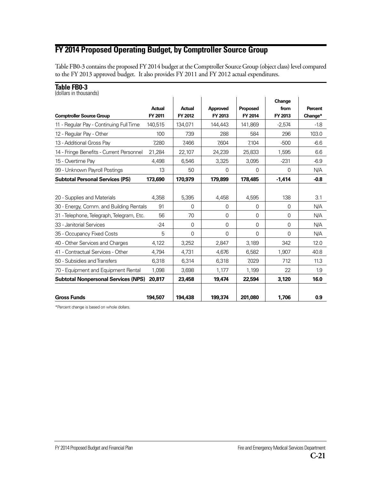# **FY 2014 Proposed Operating Budget, by Comptroller Source Group**

Table FB0-3 contains the proposed FY 2014 budget at the Comptroller Source Group (object class) level compared to the FY 2013 approved budget. It also provides FY 2011 and FY 2012 actual expenditures.

| Table FB0-3<br>(dollars in thousands)      |                          |                          |                     |                            |                           |                           |
|--------------------------------------------|--------------------------|--------------------------|---------------------|----------------------------|---------------------------|---------------------------|
| <b>Comptroller Source Group</b>            | <b>Actual</b><br>FY 2011 | <b>Actual</b><br>FY 2012 | Approved<br>FY 2013 | <b>Proposed</b><br>FY 2014 | Change<br>from<br>FY 2013 | <b>Percent</b><br>Change* |
| 11 - Regular Pay - Continuing Full Time    | 140.515                  | 134,071                  | 144,443             | 141.869                    | $-2.574$                  | $-1.8$                    |
| 12 - Regular Pay - Other                   | 100                      | 739                      | 288                 | 584                        | 296                       | 103.0                     |
| 13 - Additional Gross Pay                  | 7,280                    | 7,466                    | 7,604               | 7,104                      | $-500$                    | $-6.6$                    |
| 14 - Fringe Benefits - Current Personnel   | 21,284                   | 22,107                   | 24,239              | 25,833                     | 1,595                     | 6.6                       |
| 15 - Overtime Pav                          | 4.498                    | 6,546                    | 3,325               | 3,095                      | $-231$                    | $-6.9$                    |
| 99 - Unknown Payroll Postings              | 13                       | 50                       | $\Omega$            | $\Omega$                   | $\Omega$                  | N/A                       |
| <b>Subtotal Personal Services (PS)</b>     | 173,690                  | 170,979                  | 179,899             | 178,485                    | $-1,414$                  | $-0.8$                    |
|                                            |                          |                          |                     |                            |                           |                           |
| 20 - Supplies and Materials                | 4,358                    | 5,395                    | 4,458               | 4,595                      | 138                       | 3.1                       |
| 30 - Energy, Comm. and Building Rentals    | 91                       | 0                        | 0                   | 0                          | 0                         | N/A                       |
| 31 - Telephone, Telegraph, Telegram, Etc.  | 56                       | 70                       | $\Omega$            | 0                          | $\Omega$                  | N/A                       |
| 33 - Janitorial Services                   | $-24$                    | 0                        | $\Omega$            | $\Omega$                   | $\Omega$                  | N/A                       |
| 35 - Occupancy Fixed Costs                 | 5                        | $\Omega$                 | 0                   | $\Omega$                   | $\Omega$                  | N/A                       |
| 40 - Other Services and Charges            | 4,122                    | 3,252                    | 2.847               | 3,189                      | 342                       | 12.0                      |
| 41 - Contractual Services - Other          | 4,794                    | 4,731                    | 4,676               | 6,582                      | 1,907                     | 40.8                      |
| 50 - Subsidies and Transfers               | 6,318                    | 6,314                    | 6,318               | 7,029                      | 712                       | 11.3                      |
| 70 - Equipment and Equipment Rental        | 1,098                    | 3,698                    | 1,177               | 1,199                      | 22                        | 1.9                       |
| <b>Subtotal Nonpersonal Services (NPS)</b> | 20.817                   | 23,458                   | 19,474              | 22,594                     | 3,120                     | 16.0                      |
| <b>Gross Funds</b>                         | 194,507                  | 194,438                  | 199,374             | 201,080                    | 1,706                     | 0.9                       |

\*Percent change is based on whole dollars.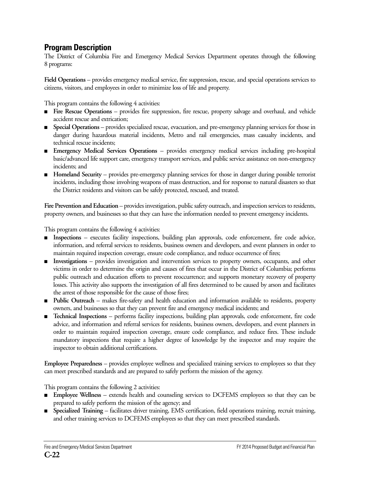# **Program Description**

The District of Columbia Fire and Emergency Medical Services Department operates through the following 8 programs:

**Field Operations** – provides emergency medical service, fire suppression, rescue, and special operations services to citizens, visitors, and employees in order to minimize loss of life and property.

This program contains the following 4 activities:

- **Fire Rescue Operations** provides fire suppression, fire rescue, property salvage and overhaul, and vehicle accident rescue and extrication;
- **Special Operations** provides specialized rescue, evacuation, and pre-emergency planning services for those in danger during hazardous material incidents, Metro and rail emergencies, mass casualty incidents, and technical rescue incidents;
- **Emergency Medical Services Operations** provides emergency medical services including pre-hospital basic/advanced life support care, emergency transport services, and public service assistance on non-emergency incidents; and
- **Homeland Security** provides pre-emergency planning services for those in danger during possible terrorist incidents, including those involving weapons of mass destruction, and for response to natural disasters so that the District residents and visitors can be safely protected, rescued, and treated.

**Fire Prevention and Education** – provides investigation, public safety outreach, and inspection services to residents, property owners, and businesses so that they can have the information needed to prevent emergency incidents.

This program contains the following 4 activities:

- **Inspections** executes facility inspections, building plan approvals, code enforcement, fire code advice, information, and referral services to residents, business owners and developers, and event planners in order to maintain required inspection coverage, ensure code compliance, and reduce occurrence of fires;
- **Investigations** provides investigation and intervention services to property owners, occupants, and other victims in order to determine the origin and causes of fires that occur in the District of Columbia; performs public outreach and education efforts to prevent reoccurrence; and supports monetary recovery of property losses. This activity also supports the investigation of all fires determined to be caused by arson and facilitates the arrest of those responsible for the cause of those fires;
- **Public Outreach** makes fire-safety and health education and information available to residents, property owners, and businesses so that they can prevent fire and emergency medical incidents; and
- **Technical Inspections** performs facility inspections, building plan approvals, code enforcement, fire code advice, and information and referral services for residents, business owners, developers, and event planners in order to maintain required inspection coverage, ensure code compliance, and reduce fires. These include mandatory inspections that require a higher degree of knowledge by the inspector and may require the inspector to obtain additional certifications.

**Employee Preparedness** – provides employee wellness and specialized training services to employees so that they can meet prescribed standards and are prepared to safely perform the mission of the agency.

This program contains the following 2 activities:

- **Employee Wellness** extends health and counseling services to DCFEMS employees so that they can be prepared to safely perform the mission of the agency; and
- **Specialized Training** facilitates driver training, EMS certification, field operations training, recruit training, and other training services to DCFEMS employees so that they can meet prescribed standards.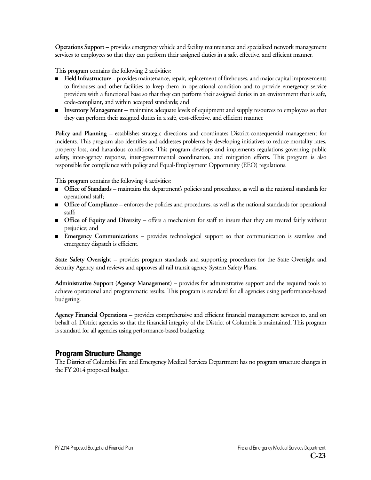**Operations Support –** provides emergency vehicle and facility maintenance and specialized network management services to employees so that they can perform their assigned duties in a safe, effective, and efficient manner.

This program contains the following 2 activities:

- **Field Infrastructure** provides maintenance, repair, replacement of firehouses, and major capital improvements to firehouses and other facilities to keep them in operational condition and to provide emergency service providers with a functional base so that they can perform their assigned duties in an environment that is safe, code-compliant, and within accepted standards; and
- **Inventory Management** maintains adequate levels of equipment and supply resources to employees so that they can perform their assigned duties in a safe, cost-effective, and efficient manner.

**Policy and Planning –** establishes strategic directions and coordinates District-consequential management for incidents. This program also identifies and addresses problems by developing initiatives to reduce mortality rates, property loss, and hazardous conditions. This program develops and implements regulations governing public safety, inter-agency response, inter-governmental coordination, and mitigation efforts. This program is also responsible for compliance with policy and Equal-Employment Opportunity (EEO) regulations.

This program contains the following 4 activities:

- **Office of Standards** maintains the department's policies and procedures, as well as the national standards for operational staff;
- **Office of Compliance** enforces the policies and procedures, as well as the national standards for operational staff;
- **Office of Equity and Diversity** offers a mechanism for staff to insure that they are treated fairly without prejudice; and
- **Emergency Communications** provides technological support so that communication is seamless and emergency dispatch is efficient.

**State Safety Oversight –** provides program standards and supporting procedures for the State Oversight and Security Agency, and reviews and approves all rail transit agency System Safety Plans.

**Administrative Support (Agency Management) –** provides for administrative support and the required tools to achieve operational and programmatic results. This program is standard for all agencies using performance-based budgeting.

**Agency Financial Operations –** provides comprehensive and efficient financial management services to, and on behalf of, District agencies so that the financial integrity of the District of Columbia is maintained. This program is standard for all agencies using performance-based budgeting.

## **Program Structure Change**

The District of Columbia Fire and Emergency Medical Services Department has no program structure changes in the FY 2014 proposed budget.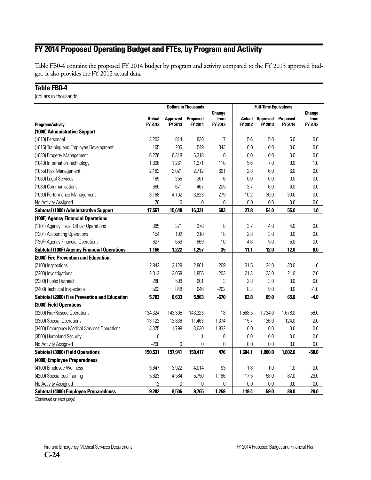# **FY 2014 Proposed Operating Budget and FTEs, by Program and Activity**

Table FB0-4 contains the proposed FY 2014 budget by program and activity compared to the FY 2013 approved budget. It also provides the FY 2012 actual data.

## **Table FB0-4**

(dollars in thousands)

|                                                      |                          |                            | <b>Dollars in Thousands</b> |                 | <b>Full-Time Equivalents</b> |                            |                            |                 |
|------------------------------------------------------|--------------------------|----------------------------|-----------------------------|-----------------|------------------------------|----------------------------|----------------------------|-----------------|
|                                                      |                          |                            |                             | <b>Change</b>   |                              |                            |                            | <b>Change</b>   |
| <b>Program/Activity</b>                              | <b>Actual</b><br>FY 2012 | <b>Approved</b><br>FY 2013 | Proposed<br>FY 2014         | from<br>FY 2013 | Actual<br>FY 2012            | <b>Approved</b><br>FY 2013 | <b>Proposed</b><br>FY 2014 | from<br>FY 2013 |
| (1000) Administrative Support                        |                          |                            |                             |                 |                              |                            |                            |                 |
| (1010) Personnel                                     | 3,202                    | 814                        | 830                         | 17              | 5.6                          | 5.0                        | 5.0                        | 0.0             |
| (1015) Training and Employee Development             | 165                      | 206                        | 549                         | 343             | 0.0                          | 0.0                        | 0.0                        | 0.0             |
| (1030) Property Management                           | 6,226                    | 6,318                      | 6,318                       | 0               | 0.0                          | 0.0                        | 0.0                        | 0.0             |
| (1040) Information Technology                        | 1,696                    | 1,261                      | 1,371                       | 110             | 5.6                          | 7.0                        | 8.0                        | 1.0             |
| (1055) Risk Management                               | 2,182                    | 2,021                      | 2,712                       | 691             | 2.8                          | 6.0                        | 6.0                        | 0.0             |
| (1060) Legal Services                                | 169                      | 255                        | 261                         | 6               | 0.0                          | 0.0                        | 0.0                        | 0.0             |
| (1080) Communications                                | 680                      | 671                        | 467                         | $-205$          | 3.7                          | 6.0                        | 6.0                        | 0.0             |
| (1090) Performance Management                        | 3,168                    | 4,102                      | 3,823                       | $-279$          | 10.2                         | 30.0                       | 30.0                       | 0.0             |
| No Activity Assigned                                 | 70                       | 0                          | 0                           | 0               | 0.0                          | 0.0                        | 0.0                        | 0.0             |
| <b>Subtotal (1000) Administrative Support</b>        | 17,557                   | 15,648                     | 16,331                      | 683             | 27.8                         | 54.0                       | 55.0                       | 1.0             |
| (100F) Agency Financial Operations                   |                          |                            |                             |                 |                              |                            |                            |                 |
| (110F) Agency Fiscal Officer Operations              | 385                      | 371                        | 378                         | 8               | 3.7                          | 4.0                        | 4.0                        | 0.0             |
| (120F) Accounting Operations                         | 154                      | 192                        | 210                         | 18              | 2.8                          | 3.0                        | 3.0                        | 0.0             |
| (130F) Agency Financial Operations                   | 627                      | 659                        | 669                         | 10              | 4.6                          | 5.0                        | 5.0                        | 0.0             |
| <b>Subtotal (100F) Agency Financial Operations</b>   | 1,166                    | 1,222                      | 1,257                       | 35              | 11.1                         | 12.0                       | 12.0                       | 0.0             |
| (2000) Fire Prevention and Education                 |                          |                            |                             |                 |                              |                            |                            |                 |
| (2100) Inspections                                   | 2,842                    | 3,129                      | 2,861                       | $-269$          | 31.5                         | 34.0                       | 33.0                       | $-1.0$          |
| (2200) Investigations                                | 2,012                    | 2,058                      | 1,855                       | $-203$          | 21.3                         | 23.0                       | 21.0                       | $-2.0$          |
| (2300) Public Outreach                               | 288                      | 598                        | 601                         | 3               | 2.8                          | 3.0                        | 3.0                        | 0.0             |
| (2400) Technical Inspections                         | 562                      | 848                        | 646                         | $-202$          | 8.3                          | 9.0                        | 8.0                        | $-1.0$          |
| <b>Subtotal (2000) Fire Prevention and Education</b> | 5,703                    | 6,633                      | 5,963                       | $-670$          | 63.8                         | 69.0                       | 65.0                       | $-4.0$          |
| (3000) Field Operations                              |                          |                            |                             |                 |                              |                            |                            |                 |
| (3200) Fire/Rescue Operations                        | 134,324                  | 143,305                    | 143,323                     | 18              | 1,568.5                      | 1,734.0                    | 1,678.0                    | $-56.0$         |
| (3300) Special Operations                            | 13,122                   | 12,836                     | 11,463                      | $-1,374$        | 115.7                        | 126.0                      | 124.0                      | $-2.0$          |
| (3400) Emergency Medical Services Operations         | 3,375                    | 1,799                      | 3,630                       | 1,832           | 0.0                          | 0.0                        | 0.0                        | 0.0             |
| (3500) Homeland Security                             | 0                        | 1                          | 1                           | 0               | 0.0                          | 0.0                        | 0.0                        | 0.0             |
| No Activity Assigned                                 | $-290$                   | 0                          | 0                           | 0               | 0.0                          | 0.0                        | 0.0                        | 0.0             |
| <b>Subtotal (3000) Field Operations</b>              | 150,531                  | 157,941                    | 158,417                     | 476             | 1,684.1                      | 1,860.0                    | 1,802.0                    | $-58.0$         |
| (4000) Employee Preparedness                         |                          |                            |                             |                 |                              |                            |                            |                 |
| (4100) Employee Wellness                             | 3,647                    | 3,922                      | 4,014                       | 93              | 1.8                          | 1.0                        | 1.0                        | 0.0             |
| (4200) Specialized Training                          | 5,623                    | 4,584                      | 5,750                       | 1,166           | 117.5                        | 58.0                       | 87.0                       | 29.0            |
| No Activity Assigned                                 | 12                       | 0                          | 0                           | 0               | 0.0                          | 0.0                        | 0.0                        | 0.0             |
| <b>Subtotal (4000) Employee Preparedness</b>         | 9,282                    | 8,506                      | 9,765                       | 1,259           | 119.4                        | 59.0                       | 88.0                       | 29.0            |

(Continued on next page)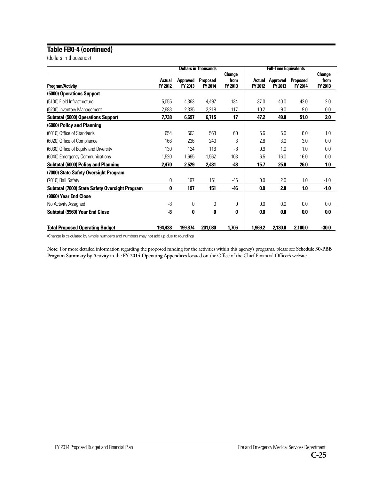#### **Table FB0-4 (continued)**

(dollars in thousands)

|                                                       | <b>Dollars in Thousands</b> |                            |                            | <b>Full-Time Equivalents</b>     |                          |                            |                            |                                  |
|-------------------------------------------------------|-----------------------------|----------------------------|----------------------------|----------------------------------|--------------------------|----------------------------|----------------------------|----------------------------------|
| <b>Program/Activity</b>                               | Actual<br>FY 2012           | <b>Approved</b><br>FY 2013 | <b>Proposed</b><br>FY 2014 | <b>Change</b><br>from<br>FY 2013 | <b>Actual</b><br>FY 2012 | <b>Approved</b><br>FY 2013 | <b>Proposed</b><br>FY 2014 | <b>Change</b><br>from<br>FY 2013 |
| (5000) Operations Support                             |                             |                            |                            |                                  |                          |                            |                            |                                  |
| (5100) Field Infrastructure                           | 5,055                       | 4,363                      | 4,497                      | 134                              | 37.0                     | 40.0                       | 42.0                       | 2.0                              |
| (5200) Inventory Management                           | 2,683                       | 2,335                      | 2,218                      | $-117$                           | 10.2                     | 9.0                        | 9.0                        | 0.0                              |
| <b>Subtotal (5000) Operations Support</b>             | 7,738                       | 6,697                      | 6,715                      | 17                               | 47.2                     | 49.0                       | 51.0                       | 2.0                              |
| (6000) Policy and Planning                            |                             |                            |                            |                                  |                          |                            |                            |                                  |
| (6010) Office of Standards                            | 654                         | 503                        | 563                        | 60                               | 5.6                      | 5.0                        | 6.0                        | 1.0                              |
| (6020) Office of Compliance                           | 166                         | 236                        | 240                        | 3                                | 2.8                      | 3.0                        | 3.0                        | 0.0                              |
| (6030) Office of Equity and Diversity                 | 130                         | 124                        | 116                        | -8                               | 0.9                      | 1.0                        | 1.0                        | 0.0                              |
| (6040) Emergency Communications                       | 1,520                       | 1,665                      | 1,562                      | $-103$                           | 6.5                      | 16.0                       | 16.0                       | 0.0                              |
| <b>Subtotal (6000) Policy and Planning</b>            | 2,470                       | 2,529                      | 2,481                      | -48                              | 15.7                     | 25.0                       | 26.0                       | 1.0                              |
| (7000) State Safety Oversight Program                 |                             |                            |                            |                                  |                          |                            |                            |                                  |
| (7010) Rail Safety                                    | 0                           | 197                        | 151                        | $-46$                            | 0.0                      | 2.0                        | 1.0                        | $-1.0$                           |
| <b>Subtotal (7000) State Safety Oversight Program</b> | 0                           | 197                        | 151                        | -46                              | 0.0                      | 2.0                        | 1.0                        | $-1.0$                           |
| (9960) Year End Close                                 |                             |                            |                            |                                  |                          |                            |                            |                                  |
| No Activity Assigned                                  | -8                          | 0                          | 0                          | 0                                | 0.0                      | 0.0                        | 0.0                        | $0.0\,$                          |
| <b>Subtotal (9960) Year End Close</b>                 | -8                          | 0                          | 0                          | 0                                | 0.0                      | 0.0                        | 0.0                        | 0.0                              |
| <b>Total Proposed Operating Budget</b>                | 194,438                     | 199,374                    | 201,080                    | 1,706                            | 1.969.2                  | 2,130.0                    | 2,100.0                    | $-30.0$                          |

(Change is calculated by whole numbers and numbers may not add up due to rounding)

**Note:** For more detailed information regarding the proposed funding for the activities within this agency's programs, please see **Schedule 30-PBB Program Summary by Activity** in the **FY 2014 Operating Appendices** located on the Office of the Chief Financial Officer's website.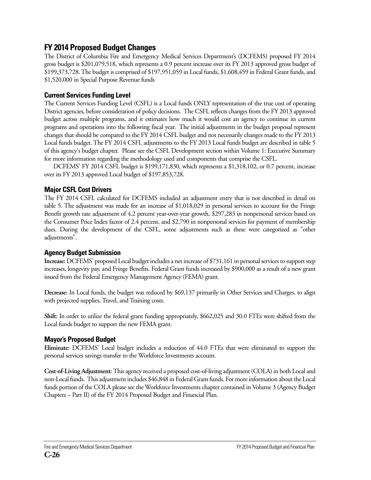# **FY 2014 Proposed Budget Changes**

The District of Columbia Fire and Emergency Medical Services Department's (DCFEMS) proposed FY 2014 gross budget is \$201,079,518, which represents a 0.9 percent increase over its FY 2013 approved gross budget of \$199,373,728. The budget is comprised of \$197,951,059 in Local funds, \$1,608,459 in Federal Grant funds, and \$1,520,000 in Special Purpose Revenue funds

## **Current Services Funding Level**

The Current Services Funding Level (CSFL) is a Local funds ONLY representation of the true cost of operating District agencies, before consideration of policy decisions. The CSFL reflects changes from the FY 2013 approved budget across multiple programs, and it estimates how much it would cost an agency to continue its current programs and operations into the following fiscal year. The initial adjustments in the budget proposal represent changes that should be compared to the FY 2014 CSFL budget and not necessarily changes made to the FY 2013 Local funds budget. The FY 2014 CSFL adjustments to the FY 2013 Local funds budget are described in table 5 of this agency's budget chapter. Please see the CSFL Development section within Volume 1: Executive Summary for more information regarding the methodology used and components that comprise the CSFL.

DCFEMS' FY 2014 CSFL budget is \$199,171,830, which represents a \$1,318,102, or 0.7 percent, increase over its FY 2013 approved Local budget of \$197,853,728.

## **Major CSFL Cost Drivers**

The FY 2014 CSFL calculated for DCFEMS included an adjustment entry that is not described in detail on table 5. The adjustment was made for an increase of \$1,018,029 in personal services to account for the Fringe Benefit growth rate adjustment of 4.2 percent year-over-year growth, \$297,283 in nonpersonal services based on the Consumer Price Index factor of 2.4 percent, and \$2,790 in nonpersonal services for payment of membership dues. During the development of the CSFL, some adjustments such as these were categorized as "other adjustments".

## **Agency Budget Submission**

**Increase:** DCFEMS' proposed Local budget includes a net increase of \$731,161 in personal services to support step increases, longevity pay, and Fringe Benefits. Federal Grant funds increased by \$900,000 as a result of a new grant issued from the Federal Emergency Management Agency (FEMA) grant.

**Decrease:** In Local funds, the budget was reduced by \$69,137 primarily in Other Services and Charges, to align with projected supplies, Travel, and Training costs.

**Shift:** In order to utilize the federal grant funding appropriately, \$662,025 and 30.0 FTEs were shifted from the Local funds budget to support the new FEMA grant.

## **Mayor's Proposed Budget**

**Eliminate:** DCFEMS' Local budget includes a reduction of 44.0 FTEs that were eliminated to support the personal services savings transfer to the Workforce Investments account.

**Cost-of-Living Adjustment:** This agency received a proposed cost-of-living adjustment (COLA) in both Local and non-Local funds. This adjustment includes \$46,848 in Federal Grant funds. For more information about the Local funds portion of the COLA please see the Workforce Investments chapter contained in Volume 3 (Agency Budget Chapters – Part II) of the FY 2014 Proposed Budget and Financial Plan.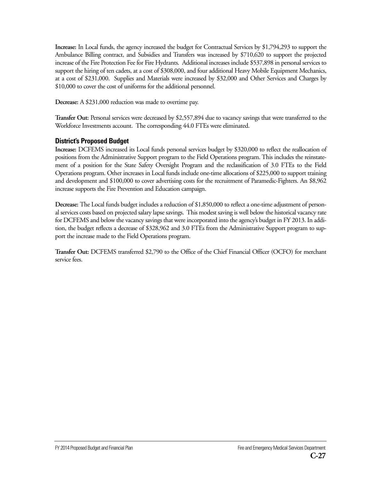**Increase:** In Local funds, the agency increased the budget for Contractual Services by \$1,794,293 to support the Ambulance Billing contract, and Subsidies and Transfers was increased by \$710,620 to support the projected increase of the Fire Protection Fee for Fire Hydrants. Additional increases include \$537,898 in personal services to support the hiring of ten cadets, at a cost of \$308,000, and four additional Heavy Mobile Equipment Mechanics, at a cost of \$231,000. Supplies and Materials were increased by \$32,000 and Other Services and Charges by \$10,000 to cover the cost of uniforms for the additional personnel.

**Decrease:** A \$231,000 reduction was made to overtime pay.

**Transfer Out:** Personal services were decreased by \$2,557,894 due to vacancy savings that were transferred to the Workforce Investments account. The corresponding 44.0 FTEs were eliminated.

#### **District's Proposed Budget**

**Increase:** DCFEMS increased its Local funds personal services budget by \$320,000 to reflect the reallocation of positions from the Administrative Support program to the Field Operations program. This includes the reinstatement of a position for the State Safety Oversight Program and the reclassification of 3.0 FTEs to the Field Operations program. Other increases in Local funds include one-time allocations of \$225,000 to support training and development and \$100,000 to cover advertising costs for the recruitment of Paramedic-Fighters. An \$8,962 increase supports the Fire Prevention and Education campaign.

**Decrease:** The Local funds budget includes a reduction of \$1,850,000 to reflect a one-time adjustment of personal services costs based on projected salary lapse savings. This modest saving is well below the historical vacancy rate for DCFEMS and below the vacancy savings that were incorporated into the agency's budget in FY 2013. In addition, the budget reflects a decrease of \$328,962 and 3.0 FTEs from the Administrative Support program to support the increase made to the Field Operations program.

**Transfer Out:** DCFEMS transferred \$2,790 to the Office of the Chief Financial Officer (OCFO) for merchant service fees.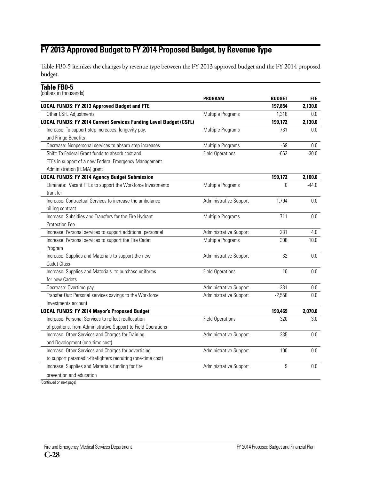# **FY 2013 Approved Budget to FY 2014 Proposed Budget, by Revenue Type**

Table FB0-5 itemizes the changes by revenue type between the FY 2013 approved budget and the FY 2014 proposed budget.

## **Table FB0-5**

| (dollars in thousands) |
|------------------------|
|------------------------|

|                                                                          | PROGRAM                 | <b>BUDGET</b> | <b>FTE</b> |
|--------------------------------------------------------------------------|-------------------------|---------------|------------|
| <b>LOCAL FUNDS: FY 2013 Approved Budget and FTE</b>                      |                         | 197,854       | 2,130.0    |
| Other CSFL Adjustments                                                   | Multiple Programs       | 1,318         | 0.0        |
| <b>LOCAL FUNDS: FY 2014 Current Services Funding Level Budget (CSFL)</b> |                         | 199,172       | 2,130.0    |
| Increase: To support step increases, longevity pay,                      | Multiple Programs       | 731           | 0.0        |
| and Fringe Benefits                                                      |                         |               |            |
| Decrease: Nonpersonal services to absorb step increases                  | Multiple Programs       | $-69$         | 0.0        |
| Shift: To Federal Grant funds to absorb cost and                         | <b>Field Operations</b> | $-662$        | $-30.0$    |
| FTEs in support of a new Federal Emergency Management                    |                         |               |            |
| Administration (FEMA) grant                                              |                         |               |            |
| <b>LOCAL FUNDS: FY 2014 Agency Budget Submission</b>                     |                         | 199,172       | 2,100.0    |
| Eliminate: Vacant FTEs to support the Workforce Investments<br>transfer  | Multiple Programs       | 0             | $-44.0$    |
| Increase: Contractual Services to increase the ambulance                 | Administrative Support  | 1,794         | 0.0        |
| billing contract                                                         |                         |               |            |
| Increase: Subsidies and Transfers for the Fire Hydrant                   | Multiple Programs       | 711           | 0.0        |
| <b>Protection Fee</b>                                                    |                         |               |            |
| Increase: Personal services to support additional personnel              | Administrative Support  | 231           | 4.0        |
| Increase: Personal services to support the Fire Cadet                    | Multiple Programs       | 308           | 10.0       |
| Program                                                                  |                         |               |            |
| Increase: Supplies and Materials to support the new                      | Administrative Support  | 32            | 0.0        |
| <b>Cadet Class</b>                                                       |                         |               |            |
| Increase: Supplies and Materials to purchase uniforms                    | <b>Field Operations</b> | 10            | 0.0        |
| for new Cadets                                                           |                         |               |            |
| Decrease: Overtime pay                                                   | Administrative Support  | $-231$        | $0.0\,$    |
| Transfer Out: Personal services savings to the Workforce                 | Administrative Support  | $-2,558$      | 0.0        |
| Investments account                                                      |                         |               |            |
| <b>LOCAL FUNDS: FY 2014 Mayor's Proposed Budget</b>                      |                         | 199,469       | 2,070.0    |
| Increase: Personal Services to reflect reallocation                      | <b>Field Operations</b> | 320           | 3.0        |
| of positions, from Administrative Support to Field Operations            |                         |               |            |
| Increase: Other Services and Charges for Training                        | Administrative Support  | 235           | 0.0        |
| and Development (one-time cost)                                          |                         |               |            |
| Increase: Other Services and Charges for advertising                     | Administrative Support  | 100           | 0.0        |
| to support paramedic-firefighters recruiting (one-time cost)             |                         |               |            |
| Increase: Supplies and Materials funding for fire                        | Administrative Support  | 9             | 0.0        |
| prevention and education                                                 |                         |               |            |
|                                                                          |                         |               |            |

(Continued on next page)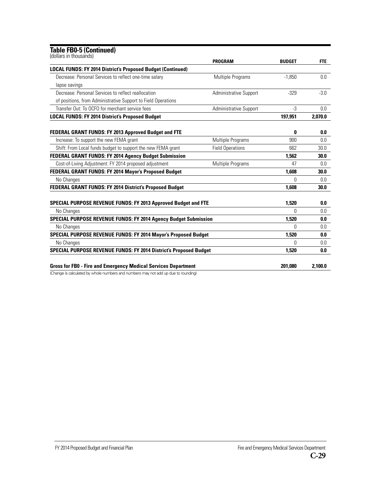#### **Table FB0-5 (Continued)**

| (dollars in thousands)                                                   | <b>PROGRAM</b>                | <b>BUDGET</b> | <b>FTE</b> |
|--------------------------------------------------------------------------|-------------------------------|---------------|------------|
| <b>LOCAL FUNDS: FY 2014 District's Proposed Budget (Continued)</b>       |                               |               |            |
| Decrease: Personal Services to reflect one-time salary                   | Multiple Programs             | $-1.850$      | 0.0        |
| lapse savings                                                            |                               |               |            |
| Decrease: Personal Services to reflect reallocation                      | Administrative Support        | $-329$        | $-3.0$     |
| of positions, from Administrative Support to Field Operations            |                               |               |            |
| Transfer Out: To OCEO for merchant service fees                          | <b>Administrative Support</b> | $-3$          | 0.0        |
| <b>LOCAL FUNDS: FY 2014 District's Proposed Budget</b>                   |                               | 197,951       | 2.070.0    |
| <b>FEDERAL GRANT FUNDS: FY 2013 Approved Budget and FTE</b>              |                               | 0             | 0.0        |
| Increase: To support the new FEMA grant                                  | Multiple Programs             | 900           | 0.0        |
| Shift: From Local funds budget to support the new FEMA grant             | <b>Field Operations</b>       | 662           | 30.0       |
| <b>FEDERAL GRANT FUNDS: FY 2014 Agency Budget Submission</b>             |                               | 1.562         | 30.0       |
| Cost-of-Living Adjustment: FY 2014 proposed adjustment                   | Multiple Programs             | 47            | 0.0        |
| FEDERAL GRANT FUNDS: FY 2014 Mayor's Proposed Budget                     |                               | 1.608         | 30.0       |
| No Changes                                                               |                               | U             | 0.0        |
| FEDERAL GRANT FUNDS: FY 2014 District's Proposed Budget                  |                               | 1,608         | 30.0       |
| <b>SPECIAL PURPOSE REVENUE FUNDS: FY 2013 Approved Budget and FTE</b>    |                               | 1.520         | 0.0        |
| No Changes                                                               |                               | O             | 0.0        |
| <b>SPECIAL PURPOSE REVENUE FUNDS: FY 2014 Agency Budget Submission</b>   |                               | 1.520         | 0.0        |
| No Changes                                                               |                               | U             | 0.0        |
| <b>SPECIAL PURPOSE REVENUE FUNDS: FY 2014 Mayor's Proposed Budget</b>    |                               | 1,520         | 0.0        |
| No Changes                                                               |                               | Ŋ             | 0.0        |
| <b>SPECIAL PURPOSE REVENUE FUNDS: FY 2014 District's Proposed Budget</b> |                               | 1.520         | 0.0        |
|                                                                          |                               |               |            |
| <b>Gross for FB0 - Fire and Emergency Medical Services Department</b>    |                               | 201.080       | 2,100.0    |

(Change is calculated by whole numbers and numbers may not add up due to rounding)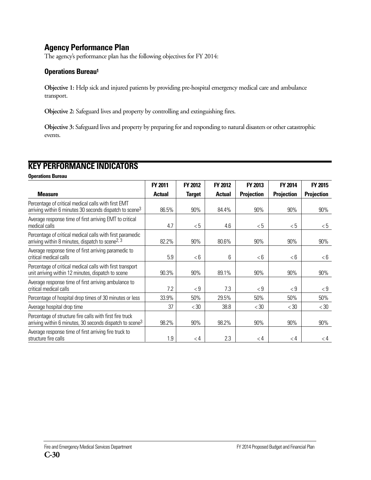# **Agency Performance Plan**

The agency's performance plan has the following objectives for FY 2014:

## **Operations Bureau1**

**Objective 1:** Help sick and injured patients by providing pre-hospital emergency medical care and ambulance transport.

**Objective 2:** Safeguard lives and property by controlling and extinguishing fires.

**Objective 3:** Safeguard lives and property by preparing for and responding to natural disasters or other catastrophic events.

# **KEY PERFORMANCE INDICATORS**

**Operations Bureau**

|                                                                                                                                  | <b>FY 2011</b> | FY 2012       | <b>FY 2012</b> | <b>FY 2013</b>    | <b>FY 2014</b>    | <b>FY 2015</b>    |
|----------------------------------------------------------------------------------------------------------------------------------|----------------|---------------|----------------|-------------------|-------------------|-------------------|
| <b>Measure</b>                                                                                                                   | <b>Actual</b>  | <b>Target</b> | <b>Actual</b>  | <b>Projection</b> | <b>Projection</b> | <b>Projection</b> |
| Percentage of critical medical calls with first EMT<br>arriving within 6 minutes 30 seconds dispatch to scene <sup>3</sup>       | 86.5%          | 90%           | 84.4%          | 90%               | 90%               | 90%               |
| Average response time of first arriving EMT to critical<br>medical calls                                                         | 4.7            | < 5           | 4.6            | < 5               | <5                | <5                |
| Percentage of critical medical calls with first paramedic<br>arriving within 8 minutes, dispatch to scene <sup>2, 3</sup>        | 82.2%          | 90%           | 80.6%          | 90%               | 90%               | 90%               |
| Average response time of first arriving paramedic to<br>critical medical calls                                                   | 5.9            | <6            | 6              | < 6               | < 6               | < 6               |
| Percentage of critical medical calls with first transport<br>unit arriving within 12 minutes, dispatch to scene                  | 90.3%          | 90%           | 89.1%          | 90%               | 90%               | 90%               |
| Average response time of first arriving ambulance to<br>critical medical calls                                                   | 7.2            | < 9           | 7.3            | $\lt$ 9           | $\lt$ 9           | $\rm < 9$         |
| Percentage of hospital drop times of 30 minutes or less                                                                          | 33.9%          | 50%           | 29.5%          | 50%               | 50%               | 50%               |
| Average hospital drop time                                                                                                       | 37             | < 30          | 38.8           | < 30              | < 30              | $<$ 30            |
| Percentage of structure fire calls with first fire truck<br>arriving within 6 minutes, 30 seconds dispatch to scene <sup>3</sup> | 98.2%          | 90%           | 98.2%          | 90%               | 90%               | 90%               |
| Average response time of first arriving fire truck to<br>structure fire calls                                                    | 1.9            | $\lt 4$       | 2.3            | $\lt 4$           | $\lt 4$           | $\lt 4$           |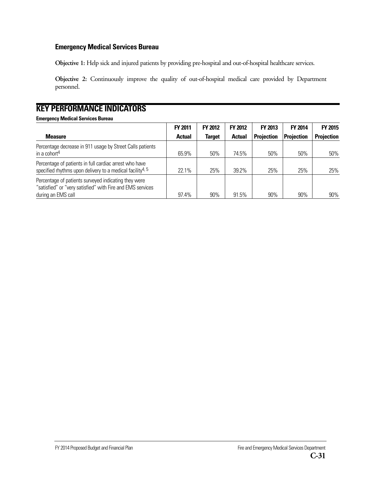#### **Emergency Medical Services Bureau**

**Objective 1:** Help sick and injured patients by providing pre-hospital and out-of-hospital healthcare services.

**Objective 2:** Continuously improve the quality of out-of-hospital medical care provided by Department personnel.

# **KEY PERFORMANCE INDICATORS**

#### **Emergency Medical Services Bureau**

|                                                                                                                                          | <b>FY 2011</b> | <b>FY 2012</b> | <b>FY 2012</b> | <b>FY 2013</b>    | <b>FY 2014</b> | <b>FY 2015</b>    |
|------------------------------------------------------------------------------------------------------------------------------------------|----------------|----------------|----------------|-------------------|----------------|-------------------|
| <b>Measure</b>                                                                                                                           | <b>Actual</b>  | <b>Target</b>  | <b>Actual</b>  | <b>Projection</b> | Projection     | <b>Projection</b> |
| Percentage decrease in 911 usage by Street Calls patients<br>in a cohort <sup>4</sup>                                                    | 65.9%          | 50%            | 74.5%          | 50%               | 50%            | 50%               |
| Percentage of patients in full cardiac arrest who have<br>specified rhythms upon delivery to a medical facility <sup>4, 5</sup>          | 22.1%          | 25%            | 39.2%          | 25%               | 25%            | 25%               |
| Percentage of patients surveyed indicating they were<br>"satisfied" or "very satisfied" with Fire and EMS services<br>during an EMS call | 97.4%          | 90%            | 91.5%          | 90%               | 90%            | 90%               |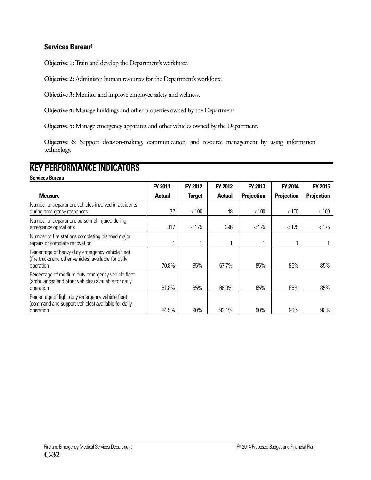#### **Services Bureau6**

**Objective 1:** Train and develop the Department's workforce.

**Objective 2:** Administer human resources for the Department's workforce.

**Objective 3:** Monitor and improve employee safety and wellness.

**Objective 4:** Manage buildings and other properties owned by the Department.

**Objective 5:** Manage emergency apparatus and other vehicles owned by the Department.

**Objective 6:** Support decision-making, communication, and resource management by using information technology.

# **KEY PERFORMANCE INDICATORS**

**Services Bureau**

|                                                                                                                       | <b>FY 2011</b> | <b>FY 2012</b> | <b>FY 2012</b> | FY 2013           | <b>FY 2014</b>    | <b>FY 2015</b>    |
|-----------------------------------------------------------------------------------------------------------------------|----------------|----------------|----------------|-------------------|-------------------|-------------------|
| <b>Measure</b>                                                                                                        | <b>Actual</b>  | <b>Target</b>  | <b>Actual</b>  | <b>Projection</b> | <b>Projection</b> | <b>Projection</b> |
| Number of department vehicles involved in accidents<br>during emergency responses                                     | 72             | < 100          | 48             | < 100             | < 100             | < 100             |
| Number of department personnel injured during<br>emergency operations                                                 | 317            | < 175          | 396            | < 175             | < 175             | < 175             |
| Number of fire stations completing planned major<br>repairs or complete renovation                                    |                |                |                |                   |                   |                   |
| Percentage of heavy duty emergency vehicle fleet<br>(fire trucks and other vehicles) available for daily<br>operation | 70.8%          | 85%            | 67.7%          | 85%               | 85%               | 85%               |
| Percentage of medium duty emergency vehicle fleet<br>(ambulances and other vehicles) available for daily<br>operation | 51.8%          | 85%            | 66.9%          | 85%               | 85%               | 85%               |
| Percentage of light duty emergency vehicle fleet<br>(command and support vehicles) available for daily<br>operation   | 84.5%          | $90\%$         | 93.1%          | 90%               | 90%               | 90%               |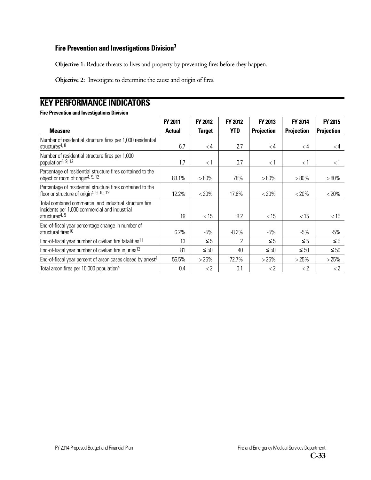#### **Fire Prevention and Investigations Division7**

**Objective 1:** Reduce threats to lives and property by preventing fires before they happen.

**Objective 2:** Investigate to determine the cause and origin of fires.

# **KEY PERFORMANCE INDICATORS**

#### **Fire Prevention and Investigations Division**

|                                                                                                                                        | FY 2011       | <b>FY 2012</b>      | <b>FY 2012</b> | FY 2013           | <b>FY 2014</b>      | <b>FY 2015</b>      |
|----------------------------------------------------------------------------------------------------------------------------------------|---------------|---------------------|----------------|-------------------|---------------------|---------------------|
| <b>Measure</b>                                                                                                                         | <b>Actual</b> | <b>Target</b>       | <b>YTD</b>     | <b>Projection</b> | <b>Projection</b>   | <b>Projection</b>   |
| Number of residential structure fires per 1,000 residential<br>structures <sup>4, 8</sup>                                              | 6.7           | $\lt 4$             | 2.7            | $\lt 4$           | $\lt 4$             | $\lt 4$             |
| Number of residential structure fires per 1,000<br>population <sup>4, 9, 12</sup>                                                      | 1.7           | $<$ 1               | 0.7            | $<$ 1             | $<$ 1               | < 1                 |
| Percentage of residential structure fires contained to the<br>object or room of origin <sup>4, 9, 12</sup>                             | 83.1%         | $>80\%$             | 78%            | $>80\%$           | $>80\%$             | $>80\%$             |
| Percentage of residential structure fires contained to the<br>floor or structure of origin <sup>4, 9, 10, 12</sup>                     | 12.2%         | $< 20\%$            | 17.6%          | $< 20\%$          | $< 20\%$            | < 20%               |
| Total combined commercial and industrial structure fire<br>incidents per 1,000 commercial and industrial<br>structures <sup>4, 9</sup> | 19            | < 15                | 8.2            | $<$ 15            | $<$ 15              | $<$ 15              |
| End-of-fiscal year percentage change in number of<br>structural fires <sup>10</sup>                                                    | 6.2%          | $-5\%$              | $-8.2%$        | $-5%$             | -5%                 | $-5\%$              |
| End-of-fiscal year number of civilian fire fatalities <sup>11</sup>                                                                    | 13            | $\leq 5$            | 2              | $\leq 5$          | $\leq 5$            | $\leq 5$            |
| End-of-fiscal year number of civilian fire injuries <sup>12</sup>                                                                      | 81            | $\leq 50$           | 40             | $\leq 50$         | $\leq 50$           | $\leq 50$           |
| End-of-fiscal year percent of arson cases closed by arrest <sup>4</sup>                                                                | 56.5%         | >25%                | 72.7%          | >25%              | >25%                | >25%                |
| Total arson fires per 10,000 population <sup>4</sup>                                                                                   | 0.4           | $\langle 2 \rangle$ | 0.1            | $\langle 2$       | $\langle 2 \rangle$ | $\langle 2 \rangle$ |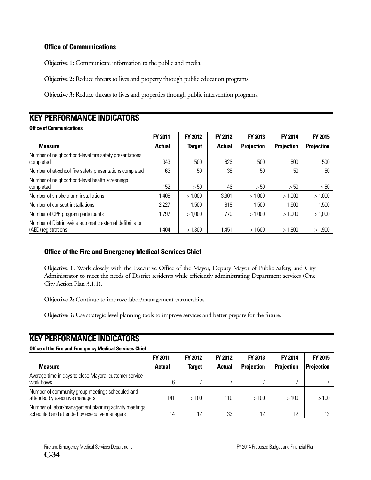#### **Office of Communications**

**Objective 1:** Communicate information to the public and media.

**Objective 2:** Reduce threats to lives and property through public education programs.

**Objective 3:** Reduce threats to lives and properties through public intervention programs.

# **KEY PERFORMANCE INDICATORS**

#### **Office of Communications**

|                                                                                 | <b>FY 2011</b> | <b>FY 2012</b> | <b>FY 2012</b> | <b>FY 2013</b>    | <b>FY 2014</b>    | <b>FY 2015</b>    |
|---------------------------------------------------------------------------------|----------------|----------------|----------------|-------------------|-------------------|-------------------|
| <b>Measure</b>                                                                  | <b>Actual</b>  | <b>Target</b>  | <b>Actual</b>  | <b>Projection</b> | <b>Projection</b> | <b>Projection</b> |
| Number of neighborhood-level fire safety presentations<br>completed             | 943            | 500            | 626            | 500               | 500               | 500               |
| Number of at-school fire safety presentations completed                         | 63             | 50             | 38             | 50                | 50                | 50                |
| Number of neighborhood-level health screenings<br>completed                     | 152            | >50            | 46             | > 50              | >50               | >50               |
| Number of smoke alarm installations                                             | 1,408          | >1,000         | 3,301          | > 1,000           | > 1,000           | >1,000            |
| Number of car seat installations                                                | 2,227          | 1,500          | 818            | 1,500             | 1,500             | 1,500             |
| Number of CPR program participants                                              | 1,797          | >1,000         | 770            | >1.000            | >1.000            | >1,000            |
| Number of District-wide automatic external defibrillator<br>(AED) registrations | 1,404          | >1,300         | l,451          | >1,600            | >1,900            | >1,900            |

## **Office of the Fire and Emergency Medical Services Chief**

**Objective 1:** Work closely with the Executive Office of the Mayor, Deputy Mayor of Public Safety, and City Administrator to meet the needs of District residents while efficiently administrating Department services (One City Action Plan 3.1.1).

**Objective 2:** Continue to improve labor/management partnerships.

**Objective 3:** Use strategic-level planning tools to improve services and better prepare for the future.

# **KEY PERFORMANCE INDICATORS**

#### **Office of the Fire and Emergency Medical Services Chief**

|                                                                                                       | <b>FY 2011</b> | <b>FY 2012</b> | <b>FY 2012</b> | <b>FY 2013</b>    | <b>FY 2014</b>    | <b>FY 2015</b>    |
|-------------------------------------------------------------------------------------------------------|----------------|----------------|----------------|-------------------|-------------------|-------------------|
| <b>Measure</b>                                                                                        | <b>Actual</b>  | <b>Target</b>  | <b>Actual</b>  | <b>Projection</b> | <b>Projection</b> | <b>Projection</b> |
| Average time in days to close Mayoral customer service<br>work flows                                  |                |                |                |                   |                   |                   |
| Number of community group meetings scheduled and<br>attended by executive managers                    | 141            | >100           | 110            | >100              | >100              | >100              |
| Number of labor/management planning activity meetings<br>scheduled and attended by executive managers | 14             | 12             | 33             | 12                | 12                |                   |